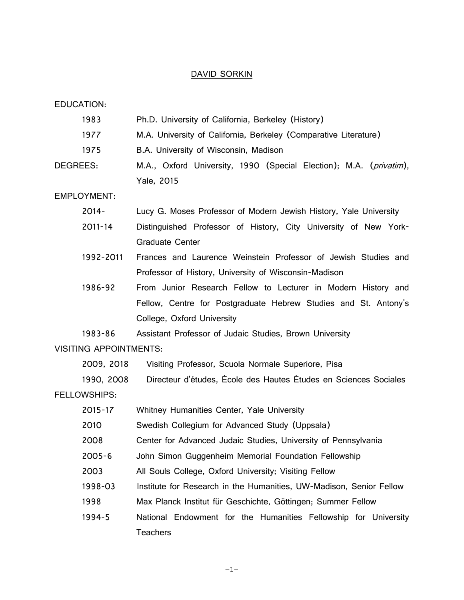#### DAVID SORKIN

EDUCATION:

| 1983     | Ph.D. University of California, Berkeley (History)                          |
|----------|-----------------------------------------------------------------------------|
| 1977     | M.A. University of California, Berkeley (Comparative Literature)            |
| 1975     | B.A. University of Wisconsin, Madison                                       |
| DEGREES: | M.A., Oxford University, 1990 (Special Election); M.A. ( <i>privatim</i> ), |
|          | Yale, 2015                                                                  |

EMPLOYMENT:

- 2014- Lucy G. Moses Professor of Modern Jewish History, Yale University
- 2011-14 Distinguished Professor of History, City University of New York-Graduate Center
- 1992-2011 Frances and Laurence Weinstein Professor of Jewish Studies and Professor of History, University of Wisconsin-Madison
- 1986-92 From Junior Research Fellow to Lecturer in Modern History and Fellow, Centre for Postgraduate Hebrew Studies and St. Antony's College, Oxford University

1983-86 Assistant Professor of Judaic Studies, Brown University VISITING APPOINTMENTS:

2009, 2018 Visiting Professor, Scuola Normale Superiore, Pisa

1990, 2008 Directeur d'études, École des Hautes Études en Sciences Sociales FELLOWSHIPS:

2015-17 Whitney Humanities Center, Yale University 2010 Swedish Collegium for Advanced Study (Uppsala) 2008 Center for Advanced Judaic Studies, University of Pennsylvania 2005-6 John Simon Guggenheim Memorial Foundation Fellowship 2003 All Souls College, Oxford University; Visiting Fellow 1998-03 Institute for Research in the Humanities, UW-Madison, Senior Fellow 1998 Max Planck Institut für Geschichte, Göttingen; Summer Fellow 1994-5 National Endowment for the Humanities Fellowship for University Teachers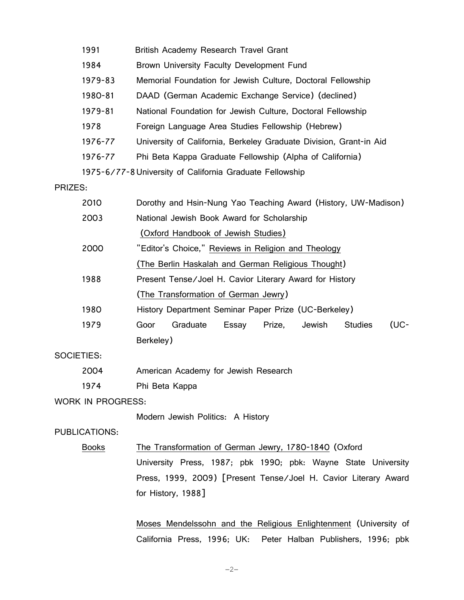| 1991                                                     | British Academy Research Travel Grant                              |  |
|----------------------------------------------------------|--------------------------------------------------------------------|--|
| 1984                                                     | Brown University Faculty Development Fund                          |  |
| 1979-83                                                  | Memorial Foundation for Jewish Culture, Doctoral Fellowship        |  |
| 1980-81                                                  | DAAD (German Academic Exchange Service) (declined)                 |  |
| 1979-81                                                  | National Foundation for Jewish Culture, Doctoral Fellowship        |  |
| 1978                                                     | Foreign Language Area Studies Fellowship (Hebrew)                  |  |
| 1976-77                                                  | University of California, Berkeley Graduate Division, Grant-in Aid |  |
| 1976-77                                                  | Phi Beta Kappa Graduate Fellowship (Alpha of California)           |  |
| 1975-6/77-8 University of California Graduate Fellowship |                                                                    |  |

PRIZES:

| 2010 | Dorothy and Hsin-Nung Yao Teaching Award (History, UW-Madison) |                                                         |       |        |        |                |      |
|------|----------------------------------------------------------------|---------------------------------------------------------|-------|--------|--------|----------------|------|
| 2003 | National Jewish Book Award for Scholarship                     |                                                         |       |        |        |                |      |
|      |                                                                | (Oxford Handbook of Jewish Studies)                     |       |        |        |                |      |
| 2000 | "Editor's Choice," Reviews in Religion and Theology            |                                                         |       |        |        |                |      |
|      | (The Berlin Haskalah and German Religious Thought)             |                                                         |       |        |        |                |      |
| 1988 |                                                                | Present Tense/Joel H. Cavior Literary Award for History |       |        |        |                |      |
|      | (The Transformation of German Jewry)                           |                                                         |       |        |        |                |      |
| 1980 |                                                                | History Department Seminar Paper Prize (UC-Berkeley)    |       |        |        |                |      |
| 1979 | Goor                                                           | Graduate                                                | Essay | Prize, | Jewish | <b>Studies</b> | (UC- |
|      | Berkeley)                                                      |                                                         |       |        |        |                |      |

SOCIETIES:

- 2004 American Academy for Jewish Research
- 1974 Phi Beta Kappa

## WORK IN PROGRESS:

Modern Jewish Politics: A History

## PUBLICATIONS:

Books The Transformation of German Jewry, 1780-1840 (Oxford

University Press, 1987; pbk 1990; pbk: Wayne State University Press, 1999, 2009) [Present Tense/Joel H. Cavior Literary Award for History, 1988]

Moses Mendelssohn and the Religious Enlightenment (University of California Press, 1996; UK: Peter Halban Publishers, 1996; pbk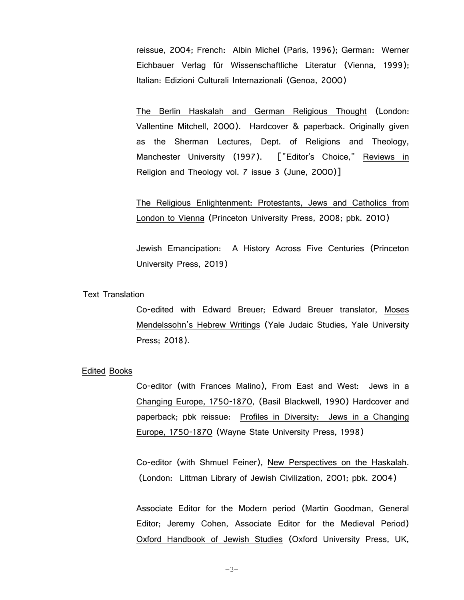reissue, 2004; French: Albin Michel (Paris, 1996); German: Werner Eichbauer Verlag für Wissenschaftliche Literatur (Vienna, 1999); Italian: Edizioni Culturali Internazionali (Genoa, 2000)

The Berlin Haskalah and German Religious Thought (London: Vallentine Mitchell, 2000). Hardcover & paperback. Originally given as the Sherman Lectures, Dept. of Religions and Theology, Manchester University (1997). ["Editor's Choice," Reviews in Religion and Theology vol. 7 issue 3 (June, 2000)]

The Religious Enlightenment: Protestants, Jews and Catholics from London to Vienna (Princeton University Press, 2008; pbk. 2010)

Jewish Emancipation: A History Across Five Centuries (Princeton University Press, 2019)

## Text Translation

Co-edited with Edward Breuer; Edward Breuer translator, Moses Mendelssohn's Hebrew Writings (Yale Judaic Studies, Yale University Press; 2018).

## Edited Books

Co-editor (with Frances Malino), From East and West: Jews in a Changing Europe, 1750-1870, (Basil Blackwell, 1990) Hardcover and paperback; pbk reissue: Profiles in Diversity: Jews in a Changing Europe, 1750-1870 (Wayne State University Press, 1998)

Co-editor (with Shmuel Feiner), New Perspectives on the Haskalah. (London: Littman Library of Jewish Civilization, 2001; pbk. 2004)

Associate Editor for the Modern period (Martin Goodman, General Editor; Jeremy Cohen, Associate Editor for the Medieval Period) Oxford Handbook of Jewish Studies (Oxford University Press, UK,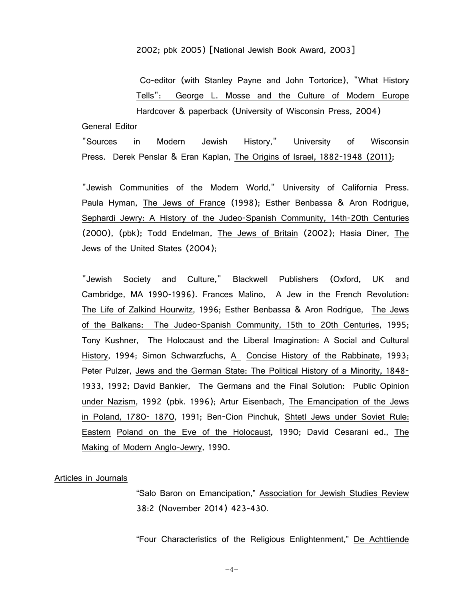### 2002; pbk 2005) [National Jewish Book Award, 2003]

Co-editor (with Stanley Payne and John Tortorice), "What History Tells": George L. Mosse and the Culture of Modern Europe Hardcover & paperback (University of Wisconsin Press, 2004)

#### General Editor

"Sources in Modern Jewish History," University of Wisconsin Press. Derek Penslar & Eran Kaplan, The Origins of Israel, 1882-1948 (2011);

"Jewish Communities of the Modern World," University of California Press. Paula Hyman, The Jews of France (1998); Esther Benbassa & Aron Rodrigue, Sephardi Jewry: A History of the Judeo-Spanish Community, 14th-20th Centuries (2000), (pbk); Todd Endelman, The Jews of Britain (2002); Hasia Diner, The Jews of the United States (2004);

"Jewish Society and Culture," Blackwell Publishers (Oxford, UK and Cambridge, MA 1990-1996). Frances Malino, A Jew in the French Revolution: The Life of Zalkind Hourwitz, 1996; Esther Benbassa & Aron Rodrigue, The Jews of the Balkans: The Judeo-Spanish Community, 15th to 20th Centuries, 1995; Tony Kushner, The Holocaust and the Liberal Imagination: A Social and Cultural History, 1994; Simon Schwarzfuchs, A Concise History of the Rabbinate, 1993; Peter Pulzer, Jews and the German State: The Political History of a Minority, 1848- 1933, 1992; David Bankier, The Germans and the Final Solution: Public Opinion under Nazism, 1992 (pbk. 1996); Artur Eisenbach, The Emancipation of the Jews in Poland, 1780- 1870, 1991; Ben-Cion Pinchuk, Shtetl Jews under Soviet Rule: Eastern Poland on the Eve of the Holocaust, 1990; David Cesarani ed., The Making of Modern Anglo-Jewry, 1990.

#### Articles in Journals

"Salo Baron on Emancipation," Association for Jewish Studies Review 38:2 (November 2014) 423-430.

"Four Characteristics of the Religious Enlightenment," De Achttiende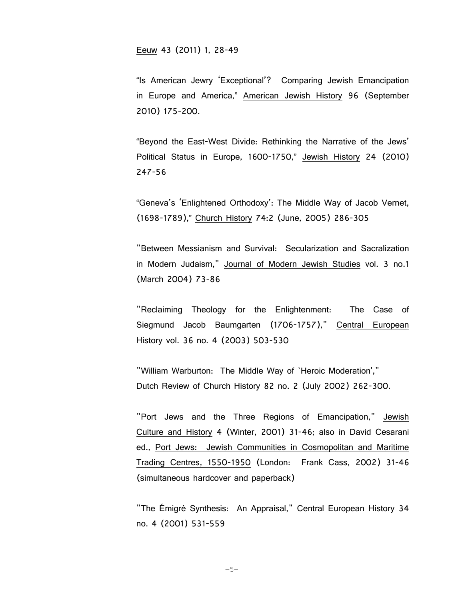Eeuw 43 (2011) 1, 28-49

"Is American Jewry 'Exceptional'? Comparing Jewish Emancipation in Europe and America," American Jewish History 96 (September 2010) 175-200.

"Beyond the East-West Divide: Rethinking the Narrative of the Jews' Political Status in Europe, 1600-1750," Jewish History 24 (2010) 247-56

 "Geneva's 'Enlightened Orthodoxy': The Middle Way of Jacob Vernet, (1698-1789)," Church History 74:2 (June, 2005) 286-305

"Between Messianism and Survival: Secularization and Sacralization in Modern Judaism," Journal of Modern Jewish Studies vol. 3 no.1 (March 2004) 73-86

"Reclaiming Theology for the Enlightenment: The Case of Siegmund Jacob Baumgarten (1706-1757)," Central European History vol. 36 no. 4 (2003) 503-530

"William Warburton: The Middle Way of `Heroic Moderation'," Dutch Review of Church History 82 no. 2 (July 2002) 262-300.

"Port Jews and the Three Regions of Emancipation," Jewish Culture and History 4 (Winter, 2001) 31-46; also in David Cesarani ed., Port Jews: Jewish Communities in Cosmopolitan and Maritime Trading Centres, 1550-1950 (London: Frank Cass, 2002) 31-46 (simultaneous hardcover and paperback)

"The Émigré Synthesis: An Appraisal," Central European History 34 no. 4 (2001) 531-559

−5−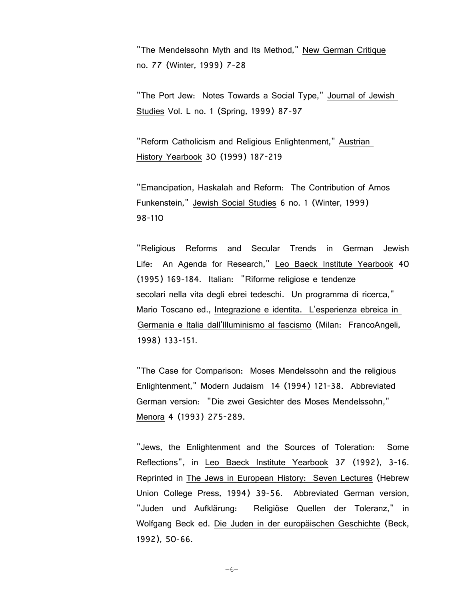"The Mendelssohn Myth and Its Method," New German Critique no. 77 (Winter, 1999) 7-28

"The Port Jew: Notes Towards a Social Type," Journal of Jewish Studies Vol. L no. 1 (Spring, 1999) 87-97

"Reform Catholicism and Religious Enlightenment," Austrian History Yearbook 30 (1999) 187-219

"Emancipation, Haskalah and Reform: The Contribution of Amos Funkenstein," Jewish Social Studies 6 no. 1 (Winter, 1999) 98-110

"Religious Reforms and Secular Trends in German Jewish Life: An Agenda for Research," Leo Baeck Institute Yearbook 40 (1995) 169-184. Italian: "Riforme religiose e tendenze secolari nella vita degli ebrei tedeschi. Un programma di ricerca," Mario Toscano ed., Integrazione e identita. L'esperienza ebreica in Germania e Italia dall'Illuminismo al fascismo (Milan: FrancoAngeli, 1998) 133-151.

"The Case for Comparison: Moses Mendelssohn and the religious Enlightenment," Modern Judaism 14 (1994) 121-38. Abbreviated German version: "Die zwei Gesichter des Moses Mendelssohn," Menora 4 (1993) 275-289.

"Jews, the Enlightenment and the Sources of Toleration: Some Reflections", in Leo Baeck Institute Yearbook 37 (1992), 3-16. Reprinted in The Jews in European History: Seven Lectures (Hebrew Union College Press, 1994) 39-56. Abbreviated German version, "Juden und Aufklärung: Religiöse Quellen der Toleranz," in Wolfgang Beck ed. Die Juden in der europäischen Geschichte (Beck, 1992), 50-66.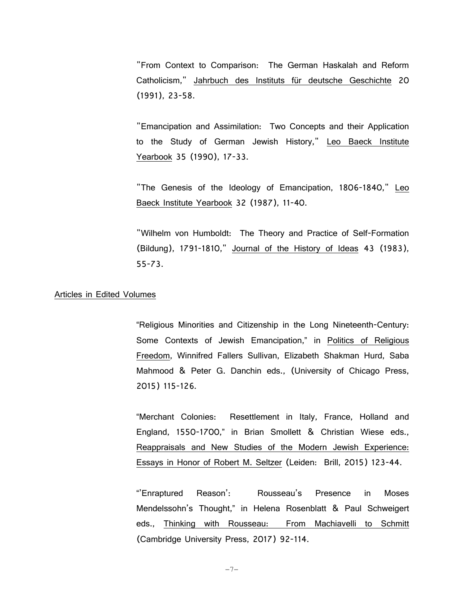"From Context to Comparison: The German Haskalah and Reform Catholicism," Jahrbuch des Instituts für deutsche Geschichte 20 (1991), 23-58.

"Emancipation and Assimilation: Two Concepts and their Application to the Study of German Jewish History," Leo Baeck Institute Yearbook 35 (1990), 17-33.

"The Genesis of the Ideology of Emancipation, 1806-1840," Leo Baeck Institute Yearbook 32 (1987), 11-40.

"Wilhelm von Humboldt: The Theory and Practice of Self-Formation (Bildung), 1791-1810," Journal of the History of Ideas 43 (1983), 55-73.

## Articles in Edited Volumes

"Religious Minorities and Citizenship in the Long Nineteenth-Century: Some Contexts of Jewish Emancipation," in Politics of Religious Freedom, Winnifred Fallers Sullivan, Elizabeth Shakman Hurd, Saba Mahmood & Peter G. Danchin eds., (University of Chicago Press, 2015) 115-126.

"Merchant Colonies: Resettlement in Italy, France, Holland and England, 1550-1700," in Brian Smollett & Christian Wiese eds., Reappraisals and New Studies of the Modern Jewish Experience: Essays in Honor of Robert M. Seltzer (Leiden: Brill, 2015) 123-44.

"'Enraptured Reason': Rousseau's Presence in Moses Mendelssohn's Thought," in Helena Rosenblatt & Paul Schweigert eds., Thinking with Rousseau: From Machiavelli to Schmitt (Cambridge University Press, 2017) 92-114.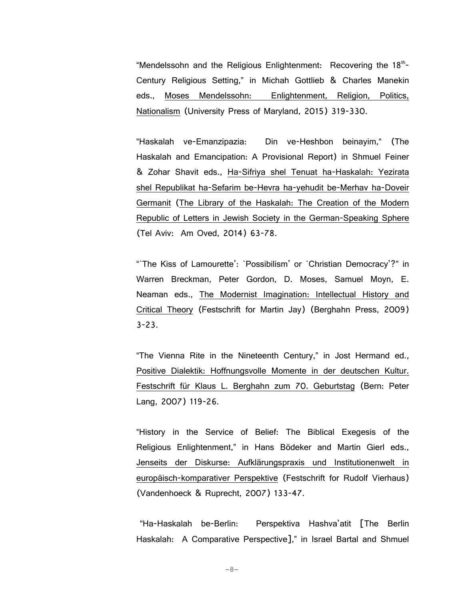"Mendelssohn and the Religious Enlightenment: Recovering the  $18<sup>th</sup>$ -Century Religious Setting," in Michah Gottlieb & Charles Manekin eds., Moses Mendelssohn: Enlightenment, Religion, Politics, Nationalism (University Press of Maryland, 2015) 319-330.

"Haskalah ve-Emanzipazia: Din ve-Heshbon beinayim," (The Haskalah and Emancipation: A Provisional Report) in Shmuel Feiner & Zohar Shavit eds., Ha-Sifriya shel Tenuat ha-Haskalah: Yezirata shel Republikat ha-Sefarim be-Hevra ha-yehudit be-Merhav ha-Doveir Germanit (The Library of the Haskalah: The Creation of the Modern Republic of Letters in Jewish Society in the German-Speaking Sphere (Tel Aviv: Am Oved, 2014) 63-78.

"`The Kiss of Lamourette': `Possibilism' or `Christian Democracy'?" in Warren Breckman, Peter Gordon, D. Moses, Samuel Moyn, E. Neaman eds., The Modernist Imagination: Intellectual History and Critical Theory (Festschrift for Martin Jay) (Berghahn Press, 2009) 3-23.

"The Vienna Rite in the Nineteenth Century," in Jost Hermand ed., Positive Dialektik: Hoffnungsvolle Momente in der deutschen Kultur. Festschrift für Klaus L. Berghahn zum 70. Geburtstag (Bern: Peter Lang, 2007) 119-26.

"History in the Service of Belief: The Biblical Exegesis of the Religious Enlightenment," in Hans Bödeker and Martin Gierl eds., Jenseits der Diskurse: Aufklärungspraxis und Institutionenwelt in europäisch-komparativer Perspektive (Festschrift for Rudolf Vierhaus) (Vandenhoeck & Ruprecht, 2007) 133-47.

"Ha-Haskalah be-Berlin: Perspektiva Hashva'atit [The Berlin Haskalah: A Comparative Perspective]," in Israel Bartal and Shmuel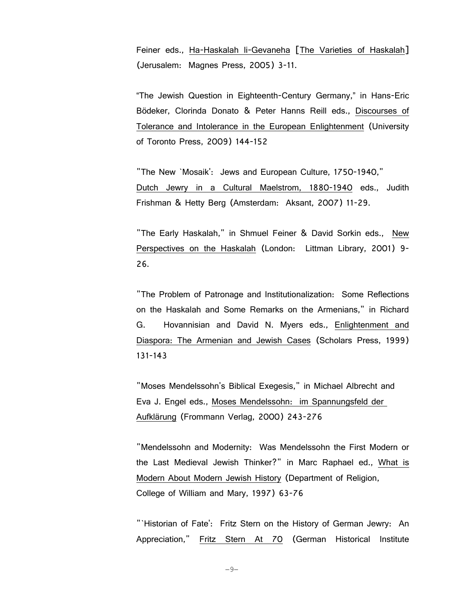Feiner eds., Ha-Haskalah li-Gevaneha [The Varieties of Haskalah] (Jerusalem: Magnes Press, 2005) 3-11.

 "The Jewish Question in Eighteenth-Century Germany," in Hans-Eric Bödeker, Clorinda Donato & Peter Hanns Reill eds., Discourses of Tolerance and Intolerance in the European Enlightenment (University of Toronto Press, 2009) 144-152

"The New `Mosaik': Jews and European Culture, 1750-1940," Dutch Jewry in a Cultural Maelstrom, 1880-1940 eds., Judith Frishman & Hetty Berg (Amsterdam: Aksant, 2007) 11-29.

"The Early Haskalah," in Shmuel Feiner & David Sorkin eds., New Perspectives on the Haskalah (London: Littman Library, 2001) 9- 26.

"The Problem of Patronage and Institutionalization: Some Reflections on the Haskalah and Some Remarks on the Armenians," in Richard G. Hovannisian and David N. Myers eds., Enlightenment and Diaspora: The Armenian and Jewish Cases (Scholars Press, 1999) 131-143

"Moses Mendelssohn's Biblical Exegesis," in Michael Albrecht and Eva J. Engel eds., Moses Mendelssohn: im Spannungsfeld der Aufklärung (Frommann Verlag, 2000) 243-276

"Mendelssohn and Modernity: Was Mendelssohn the First Modern or the Last Medieval Jewish Thinker?" in Marc Raphael ed., What is Modern About Modern Jewish History (Department of Religion, College of William and Mary, 1997) 63-76

"`Historian of Fate': Fritz Stern on the History of German Jewry: An Appreciation," Fritz Stern At 70 (German Historical Institute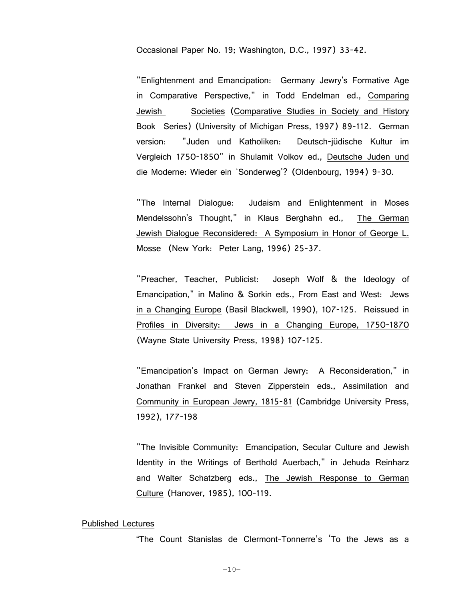Occasional Paper No. 19; Washington, D.C., 1997) 33-42.

"Enlightenment and Emancipation: Germany Jewry's Formative Age in Comparative Perspective," in Todd Endelman ed., Comparing Jewish Societies (Comparative Studies in Society and History Book Series) (University of Michigan Press, 1997) 89-112. German version: "Juden und Katholiken: Deutsch-jüdische Kultur im Vergleich 1750-1850" in Shulamit Volkov ed., Deutsche Juden und die Moderne: Wieder ein `Sonderweg'? (Oldenbourg, 1994) 9-30.

"The Internal Dialogue: Judaism and Enlightenment in Moses Mendelssohn's Thought," in Klaus Berghahn ed., The German Jewish Dialogue Reconsidered: A Symposium in Honor of George L. Mosse (New York: Peter Lang, 1996) 25-37.

"Preacher, Teacher, Publicist: Joseph Wolf & the Ideology of Emancipation," in Malino & Sorkin eds., From East and West: Jews in a Changing Europe (Basil Blackwell, 1990), 107-125. Reissued in Profiles in Diversity: Jews in a Changing Europe, 1750-1870 (Wayne State University Press, 1998) 107-125.

"Emancipation's Impact on German Jewry: A Reconsideration," in Jonathan Frankel and Steven Zipperstein eds., Assimilation and Community in European Jewry, 1815-81 (Cambridge University Press, 1992), 177-198

"The Invisible Community: Emancipation, Secular Culture and Jewish Identity in the Writings of Berthold Auerbach," in Jehuda Reinharz and Walter Schatzberg eds., The Jewish Response to German Culture (Hanover, 1985), 100-119.

#### Published Lectures

"The Count Stanislas de Clermont-Tonnerre's 'To the Jews as a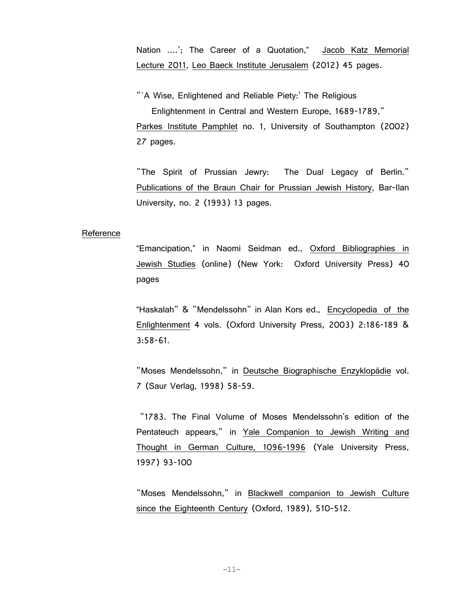Nation ….'; The Career of a Quotation," Jacob Katz Memorial Lecture 2011, Leo Baeck Institute Jerusalem (2012) 45 pages.

"`A Wise, Enlightened and Reliable Piety:' The Religious Enlightenment in Central and Western Europe, 1689-1789," Parkes Institute Pamphlet no. 1, University of Southampton (2002) 27 pages.

"The Spirit of Prussian Jewry: The Dual Legacy of Berlin." Publications of the Braun Chair for Prussian Jewish History, Bar-Ilan University, no. 2 (1993) 13 pages.

## Reference

"Emancipation," in Naomi Seidman ed., Oxford Bibliographies in Jewish Studies (online) (New York: Oxford University Press) 40 pages

"Haskalah" & "Mendelssohn" in Alan Kors ed., Encyclopedia of the Enlightenment 4 vols. (Oxford University Press, 2003) 2:186-189 & 3:58-61.

"Moses Mendelssohn," in Deutsche Biographische Enzyklopädie vol. 7 (Saur Verlag, 1998) 58-59.

 "1783. The Final Volume of Moses Mendelssohn's edition of the Pentateuch appears," in Yale Companion to Jewish Writing and Thought in German Culture, 1096-1996 (Yale University Press, 1997) 93-100

"Moses Mendelssohn," in Blackwell companion to Jewish Culture since the Eighteenth Century (Oxford, 1989), 510-512.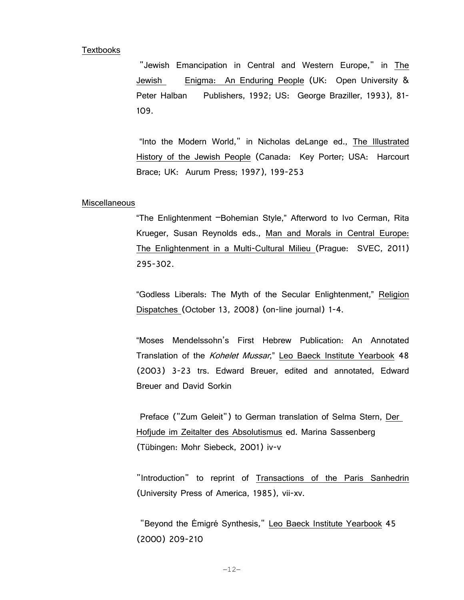### Textbooks

 "Jewish Emancipation in Central and Western Europe," in The Jewish Enigma: An Enduring People (UK: Open University & Peter Halban Publishers, 1992; US: George Braziller, 1993), 81-109.

 "Into the Modern World," in Nicholas deLange ed., The Illustrated History of the Jewish People (Canada: Key Porter; USA: Harcourt Brace; UK: Aurum Press; 1997), 199-253

#### **Miscellaneous**

"The Enlightenment –Bohemian Style," Afterword to Ivo Cerman, Rita Krueger, Susan Reynolds eds., Man and Morals in Central Europe: The Enlightenment in a Multi-Cultural Milieu (Prague: SVEC, 2011) 295-302.

"Godless Liberals: The Myth of the Secular Enlightenment," Religion Dispatches (October 13, 2008) (on-line journal) 1-4.

"Moses Mendelssohn's First Hebrew Publication: An Annotated Translation of the Kohelet Mussar," Leo Baeck Institute Yearbook 48 (2003) 3-23 trs. Edward Breuer, edited and annotated, Edward Breuer and David Sorkin

Preface ("Zum Geleit") to German translation of Selma Stern, Der Hofjude im Zeitalter des Absolutismus ed. Marina Sassenberg (Tübingen: Mohr Siebeck, 2001) iv-v

 "Introduction" to reprint of Transactions of the Paris Sanhedrin (University Press of America, 1985), vii-xv.

"Beyond the Émigré Synthesis," Leo Baeck Institute Yearbook 45 (2000) 209-210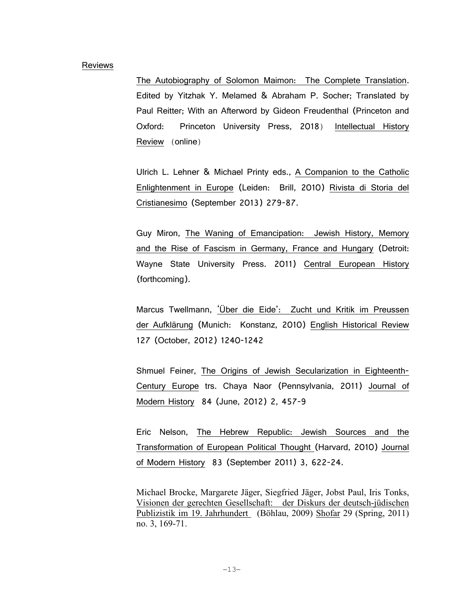#### Reviews

The Autobiography of Solomon Maimon: The Complete Translation. Edited by Yitzhak Y. Melamed & Abraham P. Socher; Translated by Paul Reitter; With an Afterword by Gideon Freudenthal (Princeton and Oxford: Princeton University Press, 2018) Intellectual History Review (online)

Ulrich L. Lehner & Michael Printy eds., A Companion to the Catholic Enlightenment in Europe (Leiden: Brill, 2010) Rivista di Storia del Cristianesimo (September 2013) 279-87.

Guy Miron, The Waning of Emancipation: Jewish History, Memory and the Rise of Fascism in Germany, France and Hungary (Detroit: Wayne State University Press. 2011) Central European History (forthcoming).

Marcus Twellmann, 'Über die Eide': Zucht und Kritik im Preussen der Aufklärung (Munich: Konstanz, 2010) English Historical Review 127 (October, 2012) 1240-1242

Shmuel Feiner, The Origins of Jewish Secularization in Eighteenth-Century Europe trs. Chaya Naor (Pennsylvania, 2011) Journal of Modern History 84 (June, 2012) 2, 457-9

Eric Nelson, The Hebrew Republic: Jewish Sources and the Transformation of European Political Thought (Harvard, 2010) Journal of Modern History 83 (September 2011) 3, 622-24.

Michael Brocke, Margarete Jäger, Siegfried Jäger, Jobst Paul, Iris Tonks, Visionen der gerechten Gesellschaft: der Diskurs der deutsch-jüdischen Publizistik im 19. Jahrhundert (Böhlau, 2009) Shofar 29 (Spring, 2011) no. 3, 169-71.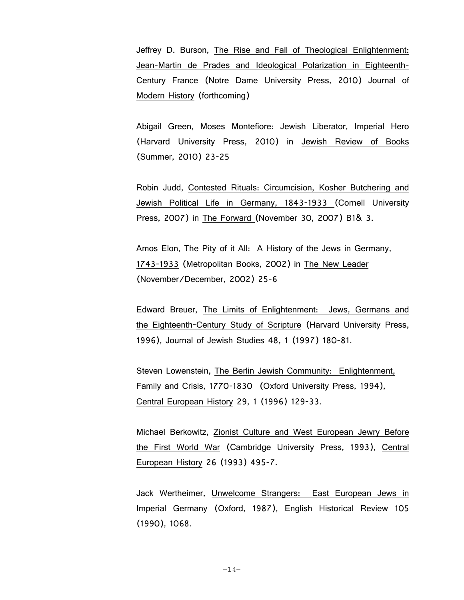Jeffrey D. Burson, The Rise and Fall of Theological Enlightenment: Jean-Martin de Prades and Ideological Polarization in Eighteenth-Century France (Notre Dame University Press, 2010) Journal of Modern History (forthcoming)

Abigail Green, Moses Montefiore: Jewish Liberator, Imperial Hero (Harvard University Press, 2010) in Jewish Review of Books (Summer, 2010) 23-25

Robin Judd, Contested Rituals: Circumcision, Kosher Butchering and Jewish Political Life in Germany, 1843-1933 (Cornell University Press, 2007) in The Forward (November 30, 2007) B1& 3.

Amos Elon, The Pity of it All: A History of the Jews in Germany, 1743-1933 (Metropolitan Books, 2002) in The New Leader (November/December, 2002) 25-6

Edward Breuer, The Limits of Enlightenment: Jews, Germans and the Eighteenth-Century Study of Scripture (Harvard University Press, 1996), Journal of Jewish Studies 48, 1 (1997) 180-81.

Steven Lowenstein, The Berlin Jewish Community: Enlightenment, Family and Crisis, 1770-1830 (Oxford University Press, 1994), Central European History 29, 1 (1996) 129-33.

Michael Berkowitz, Zionist Culture and West European Jewry Before the First World War (Cambridge University Press, 1993), Central European History 26 (1993) 495-7.

Jack Wertheimer, Unwelcome Strangers: East European Jews in Imperial Germany (Oxford, 1987), English Historical Review 105 (1990), 1068.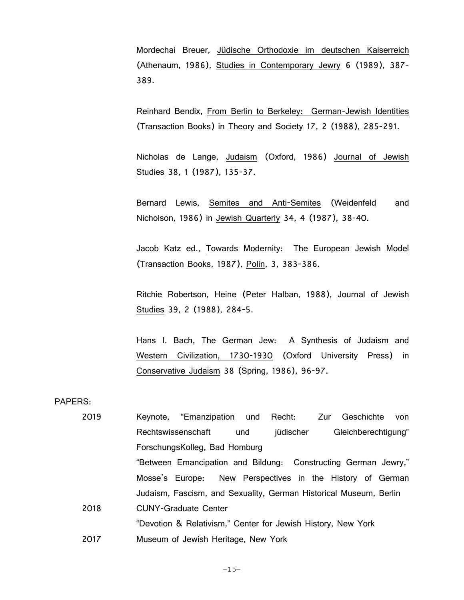Mordechai Breuer, Jüdische Orthodoxie im deutschen Kaiserreich (Athenaum, 1986), Studies in Contemporary Jewry 6 (1989), 387- 389.

Reinhard Bendix, From Berlin to Berkeley: German-Jewish Identities (Transaction Books) in Theory and Society 17, 2 (1988), 285-291.

Nicholas de Lange, Judaism (Oxford, 1986) Journal of Jewish Studies 38, 1 (1987), 135-37.

Bernard Lewis, Semites and Anti-Semites (Weidenfeld and Nicholson, 1986) in Jewish Quarterly 34, 4 (1987), 38-40.

Jacob Katz ed., Towards Modernity: The European Jewish Model (Transaction Books, 1987), Polin, 3, 383-386.

Ritchie Robertson, Heine (Peter Halban, 1988), Journal of Jewish Studies 39, 2 (1988), 284-5.

Hans I. Bach, The German Jew: A Synthesis of Judaism and Western Civilization, 1730-1930 (Oxford University Press) in Conservative Judaism 38 (Spring, 1986), 96-97.

PAPERS:

| 2019 | Keynote, "Emanzipation und Recht: Zur Geschichte<br>von           |
|------|-------------------------------------------------------------------|
|      | Gleichberechtigung"<br>jüdischer<br>Rechtswissenschaft<br>und     |
|      | ForschungsKolleg, Bad Homburg                                     |
|      | "Between Emancipation and Bildung: Constructing German Jewry,"    |
|      | Mosse's Europe: New Perspectives in the History of German         |
|      | Judaism, Fascism, and Sexuality, German Historical Museum, Berlin |
| 2018 | <b>CUNY-Graduate Center</b>                                       |
|      | "Devotion & Relativism," Center for Jewish History, New York      |
| 2017 | Museum of Jewish Heritage, New York                               |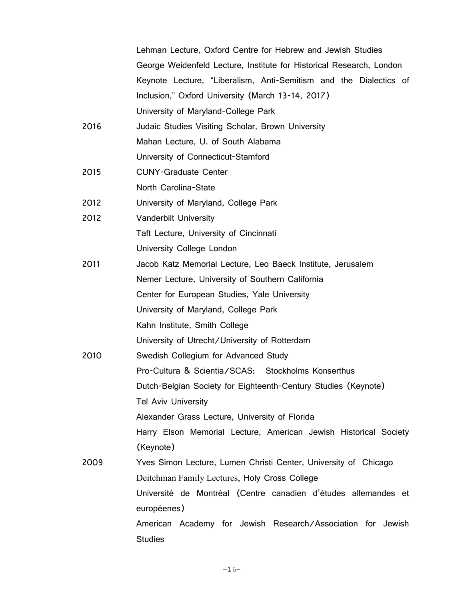|      | Lehman Lecture, Oxford Centre for Hebrew and Jewish Studies          |
|------|----------------------------------------------------------------------|
|      | George Weidenfeld Lecture, Institute for Historical Research, London |
|      | Keynote Lecture, "Liberalism, Anti-Semitism and the Dialectics of    |
|      | Inclusion," Oxford University (March 13-14, 2017)                    |
|      | University of Maryland-College Park                                  |
| 2016 | Judaic Studies Visiting Scholar, Brown University                    |
|      | Mahan Lecture, U. of South Alabama                                   |
|      | University of Connecticut-Stamford                                   |
| 2015 | <b>CUNY-Graduate Center</b>                                          |
|      | North Carolina-State                                                 |
| 2012 | University of Maryland, College Park                                 |
| 2012 | <b>Vanderbilt University</b>                                         |
|      | Taft Lecture, University of Cincinnati                               |
|      | University College London                                            |
| 2011 | Jacob Katz Memorial Lecture, Leo Baeck Institute, Jerusalem          |
|      | Nemer Lecture, University of Southern California                     |
|      | Center for European Studies, Yale University                         |
|      | University of Maryland, College Park                                 |
|      | Kahn Institute, Smith College                                        |
|      | University of Utrecht/University of Rotterdam                        |
| 2010 | Swedish Collegium for Advanced Study                                 |
|      | Pro-Cultura & Scientia/SCAS: Stockholms Konserthus                   |
|      | Dutch-Belgian Society for Eighteenth-Century Studies (Keynote)       |
|      | <b>Tel Aviv University</b>                                           |
|      | Alexander Grass Lecture, University of Florida                       |
|      | Harry Elson Memorial Lecture, American Jewish Historical Society     |
|      | (Keynote)                                                            |
| 2009 | Yves Simon Lecture, Lumen Christi Center, University of Chicago      |
|      | Deitchman Family Lectures, Holy Cross College                        |
|      | Université de Montréal (Centre canadien d'études allemandes et       |
|      | européenes)                                                          |
|      | American Academy for Jewish Research/Association for Jewish          |
|      | <b>Studies</b>                                                       |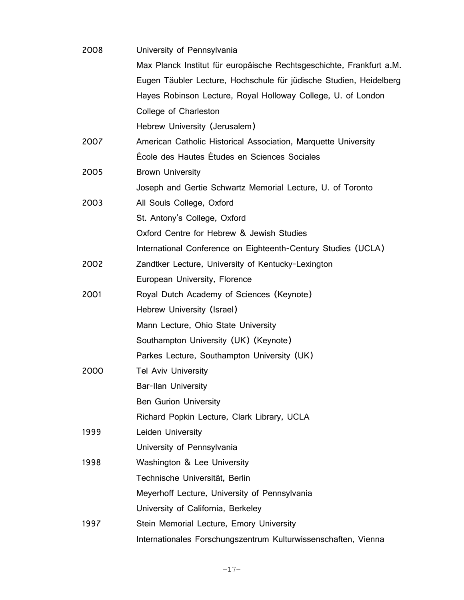| 2008 | University of Pennsylvania                                           |
|------|----------------------------------------------------------------------|
|      | Max Planck Institut für europäische Rechtsgeschichte, Frankfurt a.M. |
|      | Eugen Täubler Lecture, Hochschule für jüdische Studien, Heidelberg   |
|      | Hayes Robinson Lecture, Royal Holloway College, U. of London         |
|      | College of Charleston                                                |
|      | Hebrew University (Jerusalem)                                        |
| 2007 | American Catholic Historical Association, Marquette University       |
|      | École des Hautes Études en Sciences Sociales                         |
| 2005 | <b>Brown University</b>                                              |
|      | Joseph and Gertie Schwartz Memorial Lecture, U. of Toronto           |
| 2003 | All Souls College, Oxford                                            |
|      | St. Antony's College, Oxford                                         |
|      | Oxford Centre for Hebrew & Jewish Studies                            |
|      | International Conference on Eighteenth-Century Studies (UCLA)        |
| 2002 | Zandtker Lecture, University of Kentucky-Lexington                   |
|      | European University, Florence                                        |
| 2001 | Royal Dutch Academy of Sciences (Keynote)                            |
|      | Hebrew University (Israel)                                           |
|      | Mann Lecture, Ohio State University                                  |
|      | Southampton University (UK) (Keynote)                                |
|      | Parkes Lecture, Southampton University (UK)                          |
| 2000 | <b>Tel Aviv University</b>                                           |
|      | <b>Bar-Ilan University</b>                                           |
|      | <b>Ben Gurion University</b>                                         |
|      | Richard Popkin Lecture, Clark Library, UCLA                          |
| 1999 | Leiden University                                                    |
|      | University of Pennsylvania                                           |
| 1998 | Washington & Lee University                                          |
|      | Technische Universität, Berlin                                       |
|      | Meyerhoff Lecture, University of Pennsylvania                        |
|      | University of California, Berkeley                                   |
| 1997 | Stein Memorial Lecture, Emory University                             |
|      | Internationales Forschungszentrum Kulturwissenschaften, Vienna       |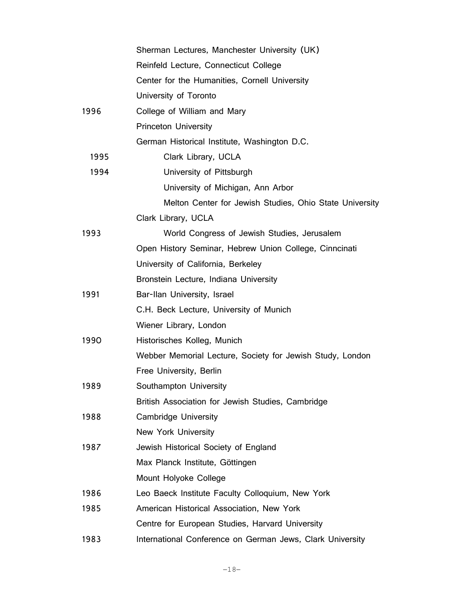|      | Sherman Lectures, Manchester University (UK)              |
|------|-----------------------------------------------------------|
|      | Reinfeld Lecture, Connecticut College                     |
|      | Center for the Humanities, Cornell University             |
|      | University of Toronto                                     |
| 1996 | College of William and Mary                               |
|      | <b>Princeton University</b>                               |
|      | German Historical Institute, Washington D.C.              |
| 1995 | Clark Library, UCLA                                       |
| 1994 | University of Pittsburgh                                  |
|      | University of Michigan, Ann Arbor                         |
|      | Melton Center for Jewish Studies, Ohio State University   |
|      | Clark Library, UCLA                                       |
| 1993 | World Congress of Jewish Studies, Jerusalem               |
|      | Open History Seminar, Hebrew Union College, Cinncinati    |
|      | University of California, Berkeley                        |
|      | Bronstein Lecture, Indiana University                     |
| 1991 | Bar-Ilan University, Israel                               |
|      | C.H. Beck Lecture, University of Munich                   |
|      | Wiener Library, London                                    |
| 1990 | Historisches Kolleg, Munich                               |
|      | Webber Memorial Lecture, Society for Jewish Study, London |
|      | Free University, Berlin                                   |
| 1989 | Southampton University                                    |
|      | British Association for Jewish Studies, Cambridge         |
| 1988 | <b>Cambridge University</b>                               |
|      | <b>New York University</b>                                |
| 1987 | Jewish Historical Society of England                      |
|      | Max Planck Institute, Göttingen                           |
|      | Mount Holyoke College                                     |
| 1986 | Leo Baeck Institute Faculty Colloquium, New York          |
| 1985 | American Historical Association, New York                 |
|      | Centre for European Studies, Harvard University           |
| 1983 | International Conference on German Jews, Clark University |